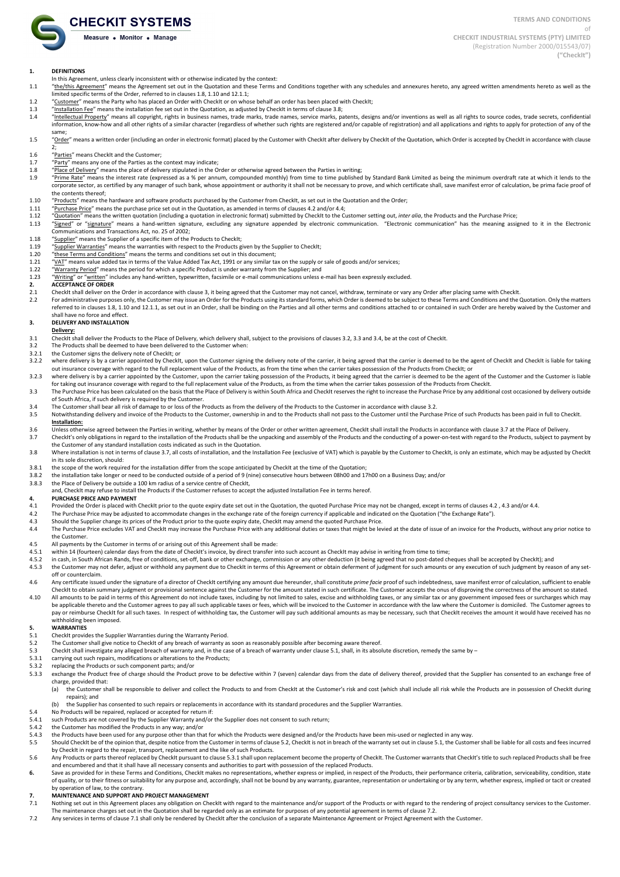**TERMS AND CONDITIONS**

of **CHECKIT INDUSTRIAL SYSTEMS (PTY) LIMITED** (Registration Number 2000/015543/07) **("CheckIt")**

#### **1. DEFINITIONS**

- In this Agreement, unless clearly inconsistent with or otherwise indicated by the context:
- 1.1 "the/this Agreement" means the Agreement set out in the Quotation and these Terms and Conditions together with any schedules and annexures hereto, any agreed written amendments hereto as well as the limited specific terms of the Order, referred to in clauses 1.8, 1.10 and 12.1.1;
- 1.2 "Customer" means the Party who has placed an Order with CheckIt or on whose behalf an order has been placed with CheckIt;
- 
- 1.3 "Installation Fee" means the installation fee set out in the Quotation, as adjusted by CheckIt in terms of clause 3.8;<br>1.4 "Intellectual Property" means all copyright, rights in business names, trade marks, trade names "Intellectual Property" means all copyright, rights in business names, trade marks, trade names, service marks, patents, designs and/or inventions as well as all rights to source codes, trade secrets, confidential information, know-how and all other rights of a similar character (regardless of whether such rights are registered and/or capable of registration) and all applications and rights to apply for protection of any of the same;
- 1.5 "Order" means a written order (including an order in electronic format) placed by the Customer with CheckIt after delivery by CheckIt of the Quotation, which Order is accepted by CheckIt in accordance with clause
- 2; 1.6 "Parties" means CheckIt and the Customer;
- 
- 1.7 "Party" means any one of the Parties as the context may indicate;
- 1.8 "Place of Delivery" means the place of delivery stipulated in the Order or otherwise agreed between the Parties in writing;<br>1.9 "Prime Rate" means the interest rate (expressed as a % per annum, compounded monthly) from
- "Prime Rate" means the interest rate (expressed as a % per annum, compounded monthly) from time to time published by Standard Bank Limited as being the minimum overdraft rate at which it lends to the corporate sector, as certified by any manager of such bank, whose appointment or authority it shall not be necessary to prove, and which certificate shall, save manifest error of calculation, be prima facie proof of the contents thereof:
- 1.10 "Products" means the hardware and software products purchased by the Customer from CheckIt, as set out in the Quotation and the Order;
- 1.11 "Purchase Price" means the purchase price set out in the Quotation, as amended in terms of clauses 4.2 and/or 4.4;<br>1.12 "Quotation" means the written quotation (including a quotation in electronic format) submitted b
	- "Quotation" means the written quotation (including a quotation in electronic format) submitted by CheckIt to the Customer setting out, *inter alia*, the Products and the Purchase Price;
- 1.13 "Signed" or "signature" means a hand-written signature, excluding any signature appended by electronic communication. "Electronic communication" has the meaning assigned to it in the Electronic Communications and Transactions Act, no. 25 of 2002;
- 1.18 "Supplier" means the Supplier of a specific item of the Products to CheckIt;
- 1.19 The "Supplier Warranties" means the warranties with respect to the Products given by the Supplier to CheckIt;<br>1.20 These Terms and Conditions" means the terms and conditions set out in this document;
- 
- 1.21 "VAT" means value added tax in terms of the Value Added Tax Act, 1991 or any similar tax on the supply or sale of goods and/or services;
- 1.22 "Warranty Period" means the period for which a specific Product is under warranty from the Supplier; and<br>1.23 "Writing" or "written" includes any hand-written, typewritten, facsimile or e-mail communications unless "written" includes any hand-written, typewritten, facsimile or e-mail communications unless e-mail has been expressly excluded.

# **2. ACCEPTANCE OF ORDER**<br>2.1 CheckIt shall deliver on the

- CheckIt shall deliver on the Order in accordance with clause 3, it being agreed that the Customer may not cancel, withdraw, terminate or vary any Order after placing same with CheckIt.
- 2.2 For administrative purposes only, the Customer may issue an Order for the Products using its standard forms, which Order is deemed to be subject to these Terms and Conditions and the Quotation. Only the matters referred to in clauses 1.8, 1.10 and 12.1.1, as set out in an Order, shall be binding on the Parties and all other terms and conditions attached to or contained in such Order are hereby waived by the Customer and shall have no force and effect

#### **3. DELIVERY AND INSTALLATION**

#### **Delivery:**

- 3.1 CheckIt shall deliver the Products to the Place of Delivery, which delivery shall, subject to the provisions of clauses 3.2, 3.3 and 3.4, be at the cost of CheckIt.<br>3.2 The Products shall be deemed to have been deliver
- 3.2 The Products shall be deemed to have been delivered to the Customer when:<br>3.2.1 the Customer signs the delivery note of CheckIt: or
- 3.2.1 the Customer signs the delivery note of CheckIt; or 3.2.2 where delivery is by a carrier appointed by CheckIt.
- where delivery is by a carrier appointed by CheckIt, upon the Customer signing the delivery note of the carrier, it being agreed that the carrier is deemed to be the agent of CheckIt and CheckIt is liable for taking out insurance coverage with regard to the full replacement value of the Products, as from the time when the carrier takes possession of the Products from CheckIt; or
- 3.2.3 where delivery is by a carrier appointed by the Customer, upon the carrier taking possession of the Products, it being agreed that the carrier is deemed to be the agent of the Customer and the Customer is liable for taking out insurance coverage with regard to the full replacement value of the Products, as from the time when the carrier takes possession of the Products from CheckIt.
- 3.3 The Purchase Price has been calculated on the basis that the Place of Delivery is within South Africa and CheckIt reserves the right to increase the Purchase Price by any additional cost occasioned by delivery outside
- of South Africa, if such delivery is required by the Customer.<br>3.4 The Customer shall bear all risk of damage to or loss of the Products as from the delivery of the Products to the Customer in accordance with clause 3.2.
- 3.5 Notwithstanding delivery and invoice of the Products to the Customer, ownership in and to the Products shall not pass to the Customer until the Purchase Price of such Products has been paid in full to CheckIt. **Installation:**

- 3.6 Unless otherwise agreed between the Parties in writing, whether by means of the Order or other written agreement, CheckIt shall install the Products in accordance with clause 3.7 at the Place of Delivery.
- 3.7 CheckIt's only obligations in regard to the installation of the Products shall be the unpacking and assembly of the Products and the conducting of a power-on-test with regard to the Products, subject to payment by the Customer of any standard installation costs indicated as such in the Quotation.
- 3.8 Where installation is not in terms of clause 3.7, all costs of installation, and the Installation Fee (exclusive of VAT) which is payable by the Customer to CheckIt, is only an estimate, which may be adjusted by CheckI in its sole discretion, should:
- 3.8.1 the scope of the work required for the installation differ from the scope anticipated by CheckIt at the time of the Quotation;<br>3.8.2 the installation take longer or need to be conducted outside of a period of 9 (nine
- 3.8.2 the installation take longer or need to be conducted outside of a period of 9 (nine) consecutive hours between 08h00 and 17h00 on a Business Day; and/or<br>3.8.3 the Place of Delivery be outside a 100 km radius of a ser
- the Place of Delivery be outside a 100 km radius of a service centre of CheckIt,
- and, CheckIt may refuse to install the Products if the Customer refuses to accept the adjusted Installation Fee in terms hereof.

# **4. PURCHASE PRICE AND PAYMENT**<br>4.1 Provided the Order is placed with

- 4.1 Provided the Order is placed with CheckIt prior to the quote expiry date set out in the Quotation, the quoted Purchase Price may not be changed, except in terms of clauses 4.2, 4.3 and/or 4.4.<br>The Purchase Price may be
- 4.2 The Purchase Price may be adjusted to accommodate changes in the exchange rate of the foreign currency if applicable and indicated on the Quotation ("the Exchange Rate")<br>4.3 Should the Supplier change its prices of the
- A Should the Supplier change its prices of the Product prior to the quote expiry date, CheckIt may amend the quoted Purchase Price.<br>4.4 The Purchase Price excludes VAT and CheckIt may increase the Purchase Price with any a
- The Purchase Price excludes VAT and CheckIt may increase the Purchase Price with any additional duties or taxes that might be levied at the date of issue of an invoice for the Products, without any prior notice to the Customer.
- 4.5 All payments by the Customer in terms of or arising out of this Agreement shall be made:<br>4.5.1 within 14 (fourteen) calendar days from the date of Check It's invoice, by direct transfer in
- within 14 (fourteen) calendar days from the date of CheckIt's invoice, by direct transfer into such account as CheckIt may advise in writing from time to time;
- 4.5.2 in cash, in South African Rands, free of conditions, set-off, bank or other exchange, commission or any other deduction (it being agreed that no post-dated cheques shall be accepted by CheckIt); and<br>4.5.3 the Custome
- the Customer may not defer, adjust or withhold any payment due to CheckIt in terms of this Agreement or obtain deferment of judgment for such amounts or any execution of such judgment by reason of any setoff or counterclaim.
- 4.6 Any certificate issued under the signature of a director of CheckIt certifying any amount due hereunder, shall constitute prime facie proof of such indebtedness, save manifest error of calculation, sufficient to enable CheckIt to obtain summary judgment or provisional sentence against the Customer for the amount stated in such certificate. The Customer accepts the onus of disproving the correctness of the amount so stated.
- 4.10 All amounts to be paid in terms of this Agreement do not include taxes, including by not limited to sales, excise and withholding taxes, or any similar tax or any government imposed fees or surcharges which may be applicable thereto and the Customer agrees to pay all such applicable taxes or fees, which will be invoiced to the Customer in accordance with the law where the Customer is domiciled. The Customer agrees to pay or reimburse CheckIt for all such taxes. In respect of withholding tax, the Customer will pay such additional amounts as may be necessary, such that CheckIt receives the amount it would have received has no withholding been imposed.

#### **5. WARRANTIES**

- 5.1 CheckIt provides the Supplier Warranties during the Warranty Period.
- 5.2 The Customer shall give notice to CheckIt of any breach of warranty as soon as reasonably possible after becoming aware thereof.<br>5.3 CheckIt shall investigate any alleged breach of warranty and in the case of a breach
- CheckIt shall investigate any alleged breach of warranty and, in the case of a breach of warranty under clause 5.1, shall, in its absolute discretion, remedy the same by -
- 5.3.1 carrying out such repairs, modifications or alterations to the Products;<br>5.3.2 replacing the Products or such component parts; and/or
- replacing the Products or such component parts; and/or
- 5.3.3 exchange the Product free of charge should the Product prove to be defective within 7 (seven) calendar days from the date of delivery thereof, provided that the Supplier has consented to an exchange free of charge, provided that:<br>(a) the Customer sh
- the Customer shall be responsible to deliver and collect the Products to and from CheckIt at the Customer's risk and cost (which shall include all risk while the Products are in possession of CheckIt during repairs); and
	- (b) the Supplier has consented to such repairs or replacements in accordance with its standard procedures and the Supplier Warranties.
- 5.4 No Products will be repaired, replaced or accepted for return if:<br>5.4.1 such Products are not covered by the Supplier Warranty and/or
- such Products are not covered by the Supplier Warranty and/or the Supplier does not consent to such return;
- 5.4.2 the Customer has modified the Products in any way; and/or
- 5.4.3 the Products have been used for any purpose other than that for which the Products were designed and/or the Products have been mis-used or neglected in any way.<br>5.5 Should Check the of the oninion that despite notice
- Should CheckIt be of the opinion that, despite notice from the Customer in terms of clause 5.2, CheckIt is not in breach of the warranty set out in clause 5.1, the Customer shall be liable for all costs and fees incurred by CheckIt in regard to the repair, transport, replacement and the like of such Products.
- 5.6 Any Products or parts thereof replaced by CheckIt pursuant to clause 5.3.1 shall upon replacement become the property of CheckIt. The Customer warrants that CheckIt's title to such replaced Products shall be free and encumbered and that it shall have all necessary consents and authorities to part with possession of the replaced Products.
- Save as provided for in these Terms and Conditions. Checkit makes no representations, whether express or implied, in respect of the Products, their performance criteria, calibration, serviceability, conditions, state or re of quality, or to their fitness or suitability for any purpose and, accordingly, shall not be bound by any warranty, guarantee, representation or undertaking or by any term, whether express, implied or tacit or created by operation of law, to the contrary

- **7. MAINTENANCE AND SUPPORT AND PROJECT MANAGEMENT**<br>**7.1** Nothing set out in this Agreement places any obligation on Ch Nothing set out in this Agreement places any obligation on CheckIt with regard to the maintenance and/or support of the Products or with regard to the rendering of project consultancy services to the Customer. The maintenance charges set out in the Quotation shall be regarded only as an estimate for purposes of any potential agreement in terms of clause 7.2.
- 7.2 Any services in terms of clause 7.1 shall only be rendered by CheckIt after the conclusion of a separate Maintenance Agreement or Project Agreement with the Customer.